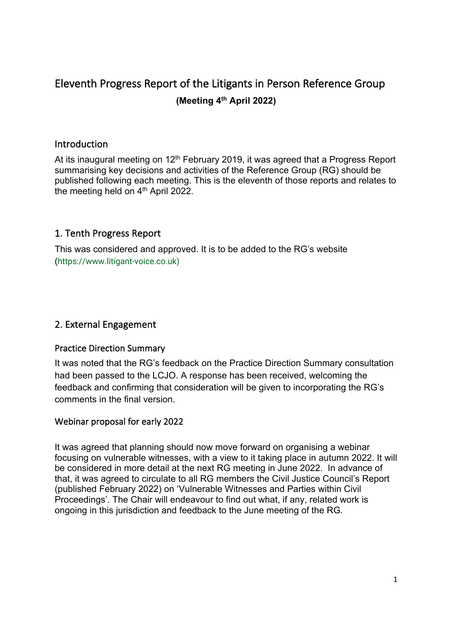# Eleventh Progress Report of the Litigants in Person Reference Group  **(Meeting 4th April 2022)**

#### Introduction

At its inaugural meeting on 12<sup>th</sup> February 2019, it was agreed that a Progress Report summarising key decisions and activities of the Reference Group (RG) should be published following each meeting. This is the eleventh of those reports and relates to the meeting held on 4<sup>th</sup> April 2022.

# 1. Tenth Progress Report

 This was considered and approved. It is to be added to the RG's website (<https://www.litigant-voice.co.uk>)

# 2. External Engagement

#### Practice Direction Summary

 It was noted that the RG's feedback on the Practice Direction Summary consultation had been passed to the LCJO. A response has been received, welcoming the feedback and confirming that consideration will be given to incorporating the RG's comments in the final version.

# Webinar proposal for early 2022

 It was agreed that planning should now move forward on organising a webinar focusing on vulnerable witnesses, with a view to it taking place in autumn 2022. It will be considered in more detail at the next RG meeting in June 2022. In advance of that, it was agreed to circulate to all RG members the Civil Justice Council's Report (published February 2022) on 'Vulnerable Witnesses and Parties within Civil Proceedings'. The Chair will endeavour to find out what, if any, related work is ongoing in this jurisdiction and feedback to the June meeting of the RG.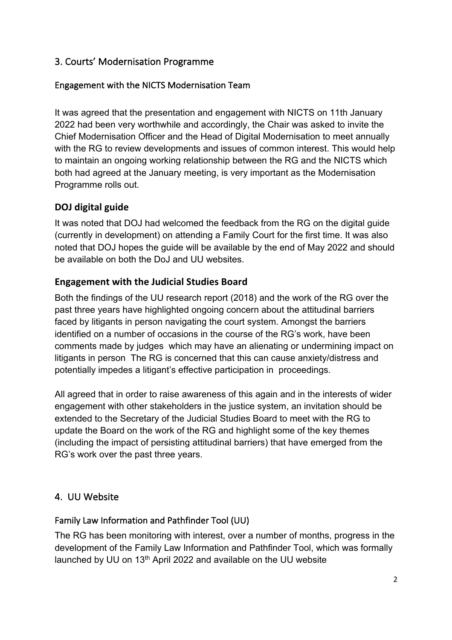# 3. Courts' Modernisation Programme

#### Engagement with the NICTS Modernisation Team

 It was agreed that the presentation and engagement with NICTS on 11th January 2022 had been very worthwhile and accordingly, the Chair was asked to invite the Chief Modernisation Officer and the Head of Digital Modernisation to meet annually with the RG to review developments and issues of common interest. This would help to maintain an ongoing working relationship between the RG and the NICTS which both had agreed at the January meeting, is very important as the Modernisation Programme rolls out.

# **DOJ digital guide**

 It was noted that DOJ had welcomed the feedback from the RG on the digital guide (currently in development) on attending a Family Court for the first time. It was also noted that DOJ hopes the guide will be available by the end of May 2022 and should be available on both the DoJ and UU websites.

# **Engagement with the Judicial Studies Board**

 Both the findings of the UU research report (2018) and the work of the RG over the past three years have highlighted ongoing concern about the attitudinal barriers faced by litigants in person navigating the court system. Amongst the barriers identified on a number of occasions in the course of the RG's work, have been comments made by judges which may have an alienating or undermining impact on litigants in person The RG is concerned that this can cause anxiety/distress and potentially impedes a litigant's effective participation in proceedings.

 All agreed that in order to raise awareness of this again and in the interests of wider engagement with other stakeholders in the justice system, an invitation should be extended to the Secretary of the Judicial Studies Board to meet with the RG to update the Board on the work of the RG and highlight some of the key themes (including the impact of persisting attitudinal barriers) that have emerged from the RG's work over the past three years.

# 4. UU Website

# Family Law Information and Pathfinder Tool (UU)

 The RG has been monitoring with interest, over a number of months, progress in the development of the Family Law Information and Pathfinder Tool, which was formally launched by UU on 13<sup>th</sup> April 2022 and available on the UU website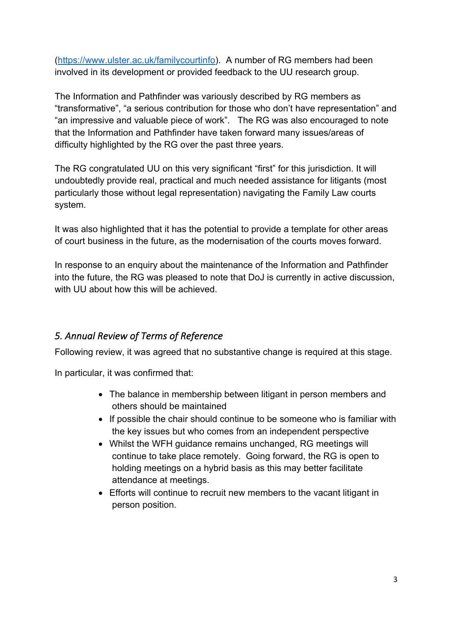(<https://www.ulster.ac.uk/familycourtinfo>). A number of RG members had been involved in its development or provided feedback to the UU research group.

 The Information and Pathfinder was variously described by RG members as "transformative", "a serious contribution for those who don't have representation" and "an impressive and valuable piece of work". The RG was also encouraged to note that the Information and Pathfinder have taken forward many issues/areas of difficulty highlighted by the RG over the past three years.

 The RG congratulated UU on this very significant "first" for this jurisdiction. It will undoubtedly provide real, practical and much needed assistance for litigants (most particularly those without legal representation) navigating the Family Law courts system.

system.<br>It was also highlighted that it has the potential to provide a template for other areas of court business in the future, as the modernisation of the courts moves forward.

 In response to an enquiry about the maintenance of the Information and Pathfinder into the future, the RG was pleased to note that DoJ is currently in active discussion, with UU about how this will be achieved.

# *5. Annual Review of Terms of Reference*

Following review, it was agreed that no substantive change is required at this stage.

In particular, it was confirmed that:

- • The balance in membership between litigant in person members and others should be maintained
- • If possible the chair should continue to be someone who is familiar with the key issues but who comes from an independent perspective
- • Whilst the WFH guidance remains unchanged, RG meetings will continue to take place remotely. Going forward, the RG is open to holding meetings on a hybrid basis as this may better facilitate attendance at meetings.
- • Efforts will continue to recruit new members to the vacant litigant in person position.